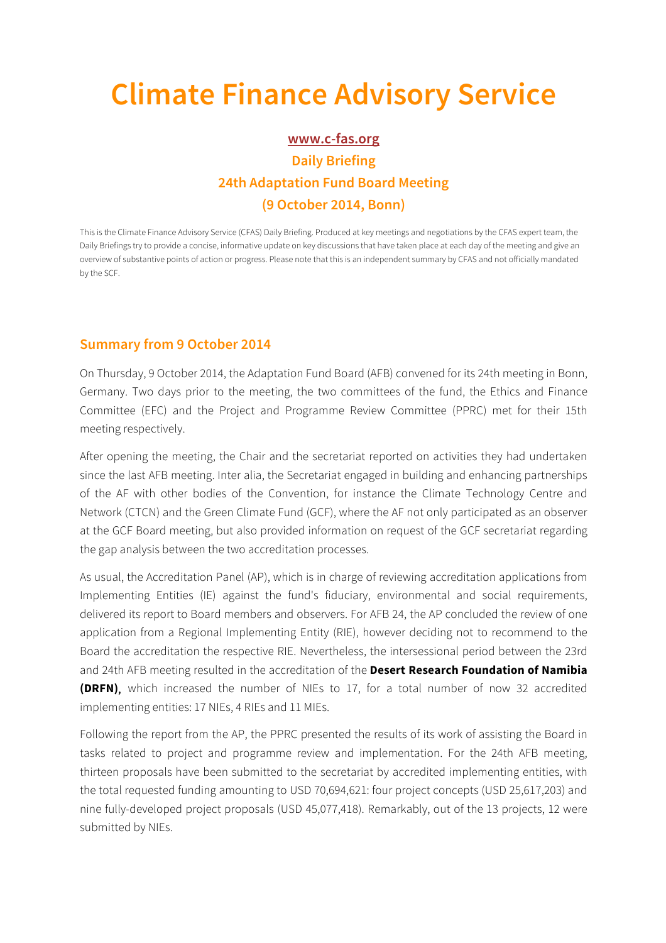## **Climate Finance Advisory Service**

## **www.c-fas.org Daily Briefing 24th Adaptation Fund Board Meeting (9 October 2014, Bonn)**

This is the Climate Finance Advisory Service (CFAS) Daily Briefing. Produced at key meetings and negotiations by the CFAS expert team, the Daily Briefings try to provide a concise, informative update on key discussions that have taken place at each day of the meeting and give an overview of substantive points of action or progress. Please note that this is an independent summary by CFAS and not officially mandated by the SCF.

## **Summary from 9 October 2014**

On Thursday, 9 October 2014, the Adaptation Fund Board (AFB) convened for its 24th meeting in Bonn, Germany. Two days prior to the meeting, the two committees of the fund, the Ethics and Finance Committee (EFC) and the Project and Programme Review Committee (PPRC) met for their 15th meeting respectively.

After opening the meeting, the Chair and the secretariat reported on activities they had undertaken since the last AFB meeting. Inter alia, the Secretariat engaged in building and enhancing partnerships of the AF with other bodies of the Convention, for instance the Climate Technology Centre and Network (CTCN) and the Green Climate Fund (GCF), where the AF not only participated as an observer at the GCF Board meeting, but also provided information on request of the GCF secretariat regarding the gap analysis between the two accreditation processes.

As usual, the Accreditation Panel (AP), which is in charge of reviewing accreditation applications from Implementing Entities (IE) against the fund's fiduciary, environmental and social requirements, delivered its report to Board members and observers. For AFB 24, the AP concluded the review of one application from a Regional Implementing Entity (RIE), however deciding not to recommend to the Board the accreditation the respective RIE. Nevertheless, the intersessional period between the 23rd and 24th AFB meeting resulted in the accreditation of the **Desert Research Foundation of Namibia (DRFN)**, which increased the number of NIEs to 17, for a total number of now 32 accredited implementing entities: 17 NIEs, 4 RIEs and 11 MIEs.

Following the report from the AP, the PPRC presented the results of its work of assisting the Board in tasks related to project and programme review and implementation. For the 24th AFB meeting, thirteen proposals have been submitted to the secretariat by accredited implementing entities, with the total requested funding amounting to USD 70,694,621: four project concepts (USD 25,617,203) and nine fully-developed project proposals (USD 45,077,418). Remarkably, out of the 13 projects, 12 were submitted by NIEs.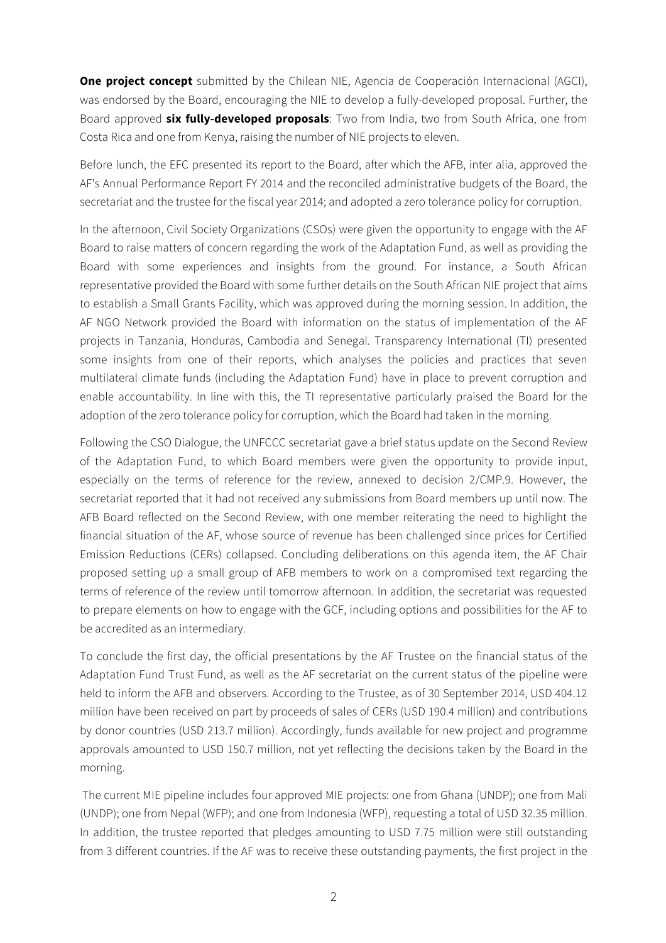**One project concept** submitted by the Chilean NIE, Agencia de Cooperación Internacional (AGCI), was endorsed by the Board, encouraging the NIE to develop a fully-developed proposal. Further, the Board approved **six fully-developed proposals**: Two from India, two from South Africa, one from Costa Rica and one from Kenya, raising the number of NIE projects to eleven.

Before lunch, the EFC presented its report to the Board, after which the AFB, inter alia, approved the AF's Annual Performance Report FY 2014 and the reconciled administrative budgets of the Board, the secretariat and the trustee for the fiscal year 2014; and adopted a zero tolerance policy for corruption.

In the afternoon, Civil Society Organizations (CSOs) were given the opportunity to engage with the AF Board to raise matters of concern regarding the work of the Adaptation Fund, as well as providing the Board with some experiences and insights from the ground. For instance, a South African representative provided the Board with some further details on the South African NIE project that aims to establish a Small Grants Facility, which was approved during the morning session. In addition, the AF NGO Network provided the Board with information on the status of implementation of the AF projects in Tanzania, Honduras, Cambodia and Senegal. Transparency International (TI) presented some insights from one of their reports, which analyses the policies and practices that seven multilateral climate funds (including the Adaptation Fund) have in place to prevent corruption and enable accountability. In line with this, the TI representative particularly praised the Board for the adoption of the zero tolerance policy for corruption, which the Board had taken in the morning.

Following the CSO Dialogue, the UNFCCC secretariat gave a brief status update on the Second Review of the Adaptation Fund, to which Board members were given the opportunity to provide input, especially on the terms of reference for the review, annexed to decision 2/CMP.9. However, the secretariat reported that it had not received any submissions from Board members up until now. The AFB Board reflected on the Second Review, with one member reiterating the need to highlight the financial situation of the AF, whose source of revenue has been challenged since prices for Certified Emission Reductions (CERs) collapsed. Concluding deliberations on this agenda item, the AF Chair proposed setting up a small group of AFB members to work on a compromised text regarding the terms of reference of the review until tomorrow afternoon. In addition, the secretariat was requested to prepare elements on how to engage with the GCF, including options and possibilities for the AF to be accredited as an intermediary.

To conclude the first day, the official presentations by the AF Trustee on the financial status of the Adaptation Fund Trust Fund, as well as the AF secretariat on the current status of the pipeline were held to inform the AFB and observers. According to the Trustee, as of 30 September 2014, USD 404.12 million have been received on part by proceeds of sales of CERs (USD 190.4 million) and contributions by donor countries (USD 213.7 million). Accordingly, funds available for new project and programme approvals amounted to USD 150.7 million, not yet reflecting the decisions taken by the Board in the morning.

The current MIE pipeline includes four approved MIE projects: one from Ghana (UNDP); one from Mali (UNDP); one from Nepal (WFP); and one from Indonesia (WFP), requesting a total of USD 32.35 million. In addition, the trustee reported that pledges amounting to USD 7.75 million were still outstanding from 3 different countries. If the AF was to receive these outstanding payments, the first project in the